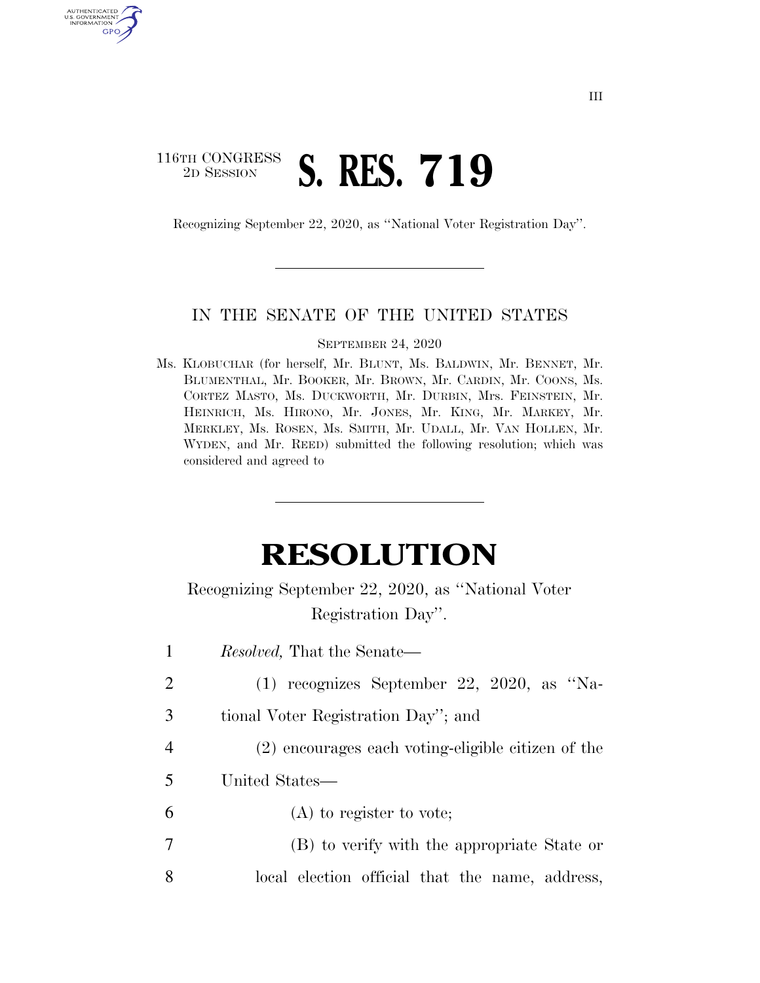## 116TH CONGRESS <sup>2D SESSION</sup> **S. RES. 719**

AUTHENTICATED<br>U.S. GOVERNMENT<br>INFORMATION GPO

Recognizing September 22, 2020, as ''National Voter Registration Day''.

## IN THE SENATE OF THE UNITED STATES

SEPTEMBER 24, 2020

Ms. KLOBUCHAR (for herself, Mr. BLUNT, Ms. BALDWIN, Mr. BENNET, Mr. BLUMENTHAL, Mr. BOOKER, Mr. BROWN, Mr. CARDIN, Mr. COONS, Ms. CORTEZ MASTO, Ms. DUCKWORTH, Mr. DURBIN, Mrs. FEINSTEIN, Mr. HEINRICH, Ms. HIRONO, Mr. JONES, Mr. KING, Mr. MARKEY, Mr. MERKLEY, Ms. ROSEN, Ms. SMITH, Mr. UDALL, Mr. VAN HOLLEN, Mr. WYDEN, and Mr. REED) submitted the following resolution; which was considered and agreed to

## **RESOLUTION**

Recognizing September 22, 2020, as ''National Voter Registration Day''.

| 1 | <i>Resolved</i> , That the Senate—                 |
|---|----------------------------------------------------|
| 2 | $(1)$ recognizes September 22, 2020, as "Na-       |
| 3 | tional Voter Registration Day"; and                |
| 4 | (2) encourages each voting-eligible citizen of the |
| 5 | United States—                                     |
| 6 | $(A)$ to register to vote;                         |
| 7 | (B) to verify with the appropriate State or        |
| 8 | local election official that the name, address,    |